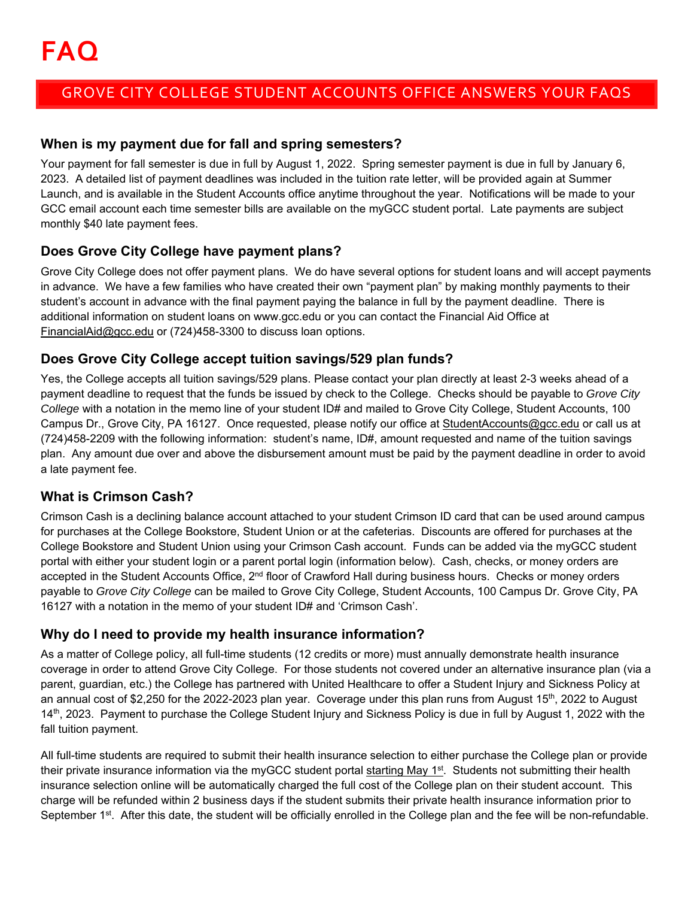# GROVE CITY COLLEGE STUDENT ACCOUNTS OFFICE ANSWERS YOUR FAQS

## **When is my payment due for fall and spring semesters?**

Your payment for fall semester is due in full by August 1, 2022. Spring semester payment is due in full by January 6, 2023. A detailed list of payment deadlines was included in the tuition rate letter, will be provided again at Summer Launch, and is available in the Student Accounts office anytime throughout the year. Notifications will be made to your GCC email account each time semester bills are available on the myGCC student portal. Late payments are subject monthly \$40 late payment fees.

## **Does Grove City College have payment plans?**

Grove City College does not offer payment plans. We do have several options for student loans and will accept payments in advance. We have a few families who have created their own "payment plan" by making monthly payments to their student's account in advance with the final payment paying the balance in full by the payment deadline. There is additional information on student loans on www.gcc.edu or you can contact the Financial Aid Office at FinancialAid@gcc.edu or (724)458-3300 to discuss loan options.

## **Does Grove City College accept tuition savings/529 plan funds?**

Yes, the College accepts all tuition savings/529 plans. Please contact your plan directly at least 2-3 weeks ahead of a payment deadline to request that the funds be issued by check to the College. Checks should be payable to *Grove City College* with a notation in the memo line of your student ID# and mailed to Grove City College, Student Accounts, 100 Campus Dr., Grove City, PA 16127. Once requested, please notify our office at StudentAccounts@gcc.edu or call us at (724)458-2209 with the following information: student's name, ID#, amount requested and name of the tuition savings plan. Any amount due over and above the disbursement amount must be paid by the payment deadline in order to avoid a late payment fee.

## **What is Crimson Cash?**

Crimson Cash is a declining balance account attached to your student Crimson ID card that can be used around campus for purchases at the College Bookstore, Student Union or at the cafeterias. Discounts are offered for purchases at the College Bookstore and Student Union using your Crimson Cash account. Funds can be added via the myGCC student portal with either your student login or a parent portal login (information below). Cash, checks, or money orders are accepted in the Student Accounts Office, 2<sup>nd</sup> floor of Crawford Hall during business hours. Checks or money orders payable to *Grove City College* can be mailed to Grove City College, Student Accounts, 100 Campus Dr. Grove City, PA 16127 with a notation in the memo of your student ID# and 'Crimson Cash'.

### **Why do I need to provide my health insurance information?**

As a matter of College policy, all full-time students (12 credits or more) must annually demonstrate health insurance coverage in order to attend Grove City College. For those students not covered under an alternative insurance plan (via a parent, guardian, etc.) the College has partnered with United Healthcare to offer a Student Injury and Sickness Policy at an annual cost of \$2,250 for the 2022-2023 plan year. Coverage under this plan runs from August 15<sup>th</sup>, 2022 to August 14<sup>th</sup>, 2023. Payment to purchase the College Student Injury and Sickness Policy is due in full by August 1, 2022 with the fall tuition payment.

All full-time students are required to submit their health insurance selection to either purchase the College plan or provide their private insurance information via the myGCC student portal starting May 1<sup>st</sup>. Students not submitting their health insurance selection online will be automatically charged the full cost of the College plan on their student account. This charge will be refunded within 2 business days if the student submits their private health insurance information prior to September 1<sup>st</sup>. After this date, the student will be officially enrolled in the College plan and the fee will be non-refundable.